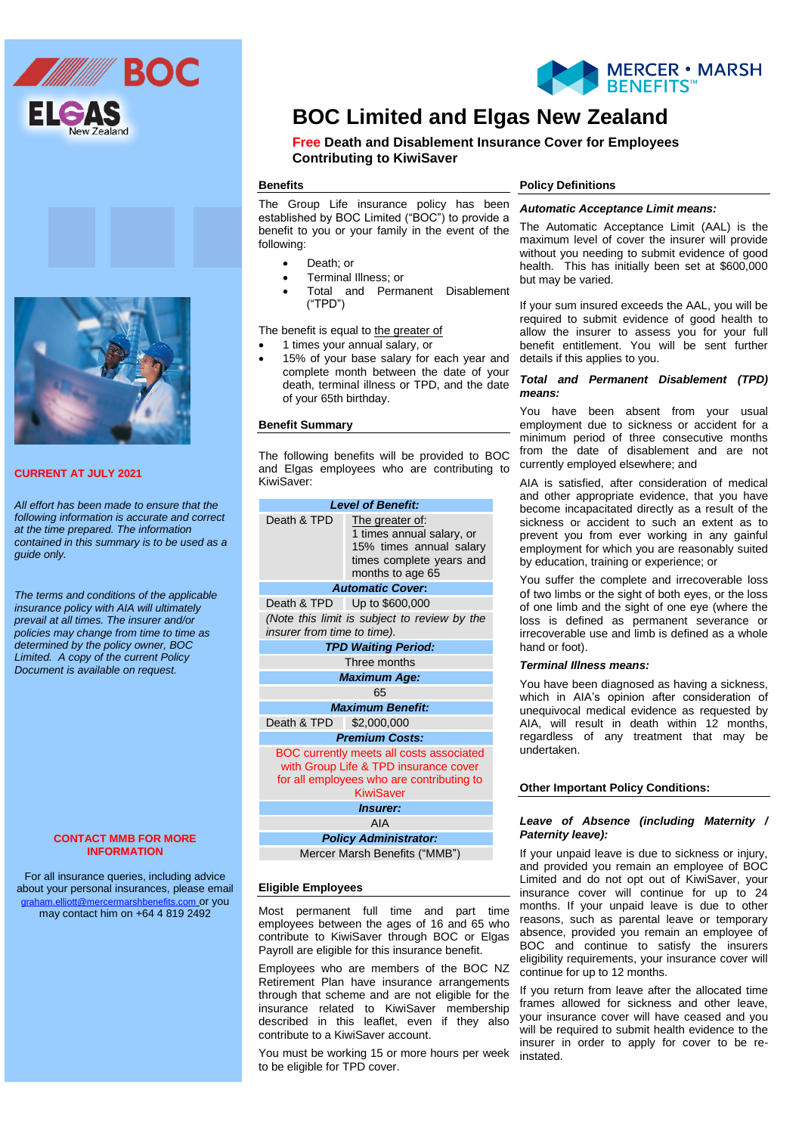



# **BOC Limited and Elgas New Zealand**

**Free Death and Disablement Insurance Cover for Employees Contributing to KiwiSaver** 

### **Benefits**

**Information Sheet** benefit to you or your family in the event of the The Group Life insurance policy has been established by BOC Limited ("BOC") to provide a following:

- Death; or
- **•** Terminal Illness; or
- Total and Permanent Disablement ("TPD")

The benefit is equal to the greater of

- 1 times your annual salary, or
- 15% of your base salary for each year and complete month between the date of your death, terminal illness or TPD, and the date of your 65th birthday.

#### **Benefit Summary**

The following benefits will be provided to BOC and Elgas employees who are contributing to KiwiSaver:

| Death & TPD<br>The greater of:<br>1 times annual salary, or<br>15% times annual salary<br>times complete years and<br>months to age 65<br><b>Automatic Cover:</b><br>Death & TPD Up to \$600,000 |
|--------------------------------------------------------------------------------------------------------------------------------------------------------------------------------------------------|
|                                                                                                                                                                                                  |
|                                                                                                                                                                                                  |
|                                                                                                                                                                                                  |
| (Note this limit is subject to review by the<br><i>insurer from time to time).</i>                                                                                                               |
| <b>TPD Waiting Period:</b>                                                                                                                                                                       |
| Three months                                                                                                                                                                                     |
| <b>Maximum Age:</b>                                                                                                                                                                              |
| 65                                                                                                                                                                                               |
| <b>Maximum Benefit:</b>                                                                                                                                                                          |
| Death & TPD \$2,000,000                                                                                                                                                                          |
| <b>Premium Costs:</b>                                                                                                                                                                            |
| BOC currently meets all costs associated<br>with Group Life & TPD insurance cover<br>for all employees who are contributing to<br><b>KiwiSaver</b>                                               |
| <i><b>Insurer:</b></i>                                                                                                                                                                           |
| AIA                                                                                                                                                                                              |
| <b>Policy Administrator:</b>                                                                                                                                                                     |
| Mercer Marsh Benefits ("MMB")                                                                                                                                                                    |

#### **Eligible Employees**

Most permanent full time and part time employees between the ages of 16 and 65 who contribute to KiwiSaver through BOC or Elgas Payroll are eligible for this insurance benefit.

Employees who are members of the BOC NZ Retirement Plan have insurance arrangements through that scheme and are not eligible for the insurance related to KiwiSaver membership described in this leaflet, even if they also contribute to a KiwiSaver account.

You must be working 15 or more hours per week to be eligible for TPD cover.

## **Policy Definitions**

# *Automatic Acceptance Limit means:*

The Automatic Acceptance Limit (AAL) is the maximum level of cover the insurer will provide without you needing to submit evidence of good health. This has initially been set at \$600,000 but may be varied.

 details if this applies to you. If your sum insured exceeds the AAL, you will be required to submit evidence of good health to allow the insurer to assess you for your full benefit entitlement. You will be sent further

#### *Total and Permanent Disablement (TPD) means:*

You have been absent from your usual employment due to sickness or accident for a minimum period of three consecutive months from the date of disablement and are not currently employed elsewhere; and

AIA is satisfied, after consideration of medical and other appropriate evidence, that you have become incapacitated directly as a result of the sickness or accident to such an extent as to prevent you from ever working in any gainful employment for which you are reasonably suited by education, training or experience; or

You suffer the complete and irrecoverable loss of two limbs or the sight of both eyes, or the loss of one limb and the sight of one eye (where the loss is defined as permanent severance or irrecoverable use and limb is defined as a whole hand or foot).

#### *Terminal Illness means:*

You have been diagnosed as having a sickness, which in AIA's opinion after consideration of unequivocal medical evidence as requested by AIA, will result in death within 12 months, regardless of any treatment that may be undertaken.

# **Other Important Policy Conditions:**

## *Leave of Absence (including Maternity / Paternity leave):*

If your unpaid leave is due to sickness or injury, and provided you remain an employee of BOC Limited and do not opt out of KiwiSaver, your insurance cover will continue for up to 24 months. If your unpaid leave is due to other reasons, such as parental leave or temporary absence, provided you remain an employee of BOC and continue to satisfy the insurers eligibility requirements, your insurance cover will continue for up to 12 months.

If you return from leave after the allocated time frames allowed for sickness and other leave, your insurance cover will have ceased and you will be required to submit health evidence to the insurer in order to apply for cover to be reinstated.



# **CURRENT AT JULY 2021**

*All effort has been made to ensure that the following information is accurate and correct at the time prepared. The information contained in this summary is to be used as a guide only.*

*The terms and conditions of the applicable insurance policy with AIA will ultimately prevail at all times. The insurer and/or policies may change from time to time as determined by the policy owner, BOC Limited. A copy of the current Policy Document is available on request.*

#### **CONTACT MMB FOR MORE INFORMATION**

For all insurance queries, including advice about your personal insurances, please email [graham.elliott@mercermarshbenefits.com](mailto:graham.elliott@mercermarshbenefits.com) or you may contact him on +64 4 819 2492